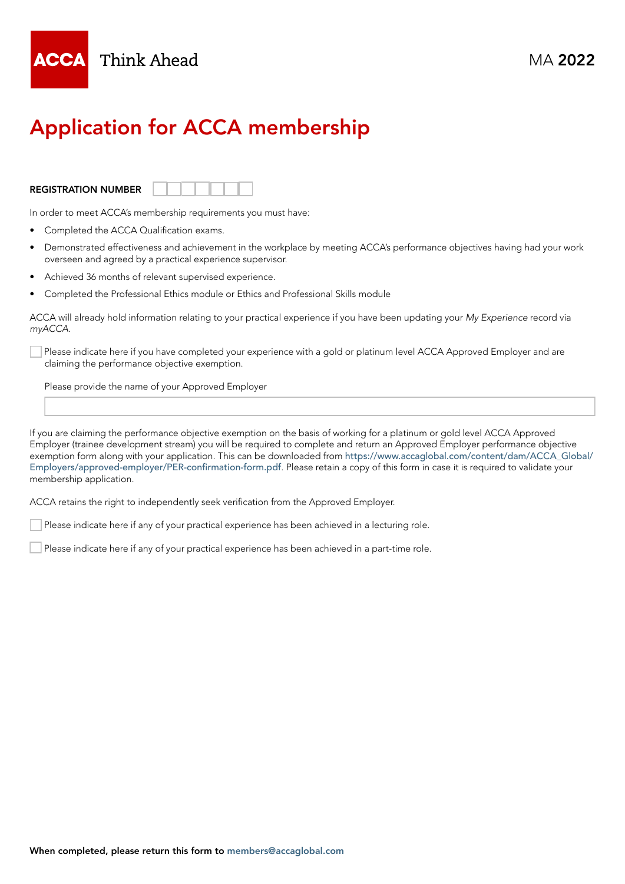

# Application for ACCA membership

### REGISTRATION NUMBER



In order to meet ACCA's membership requirements you must have:

- Completed the ACCA Qualification exams.
- Demonstrated effectiveness and achievement in the workplace by meeting ACCA's performance objectives having had your work overseen and agreed by a practical experience supervisor.
- Achieved 36 months of relevant supervised experience.
- Completed the Professional Ethics module or Ethics and Professional Skills module

ACCA will already hold information relating to your practical experience if you have been updating your *My Experience* record via *myACCA*.

Please indicate here if you have completed your experience with a gold or platinum level ACCA Approved Employer and are claiming the performance objective exemption.

Please provide the name of your Approved Employer

If you are claiming the performance objective exemption on the basis of working for a platinum or gold level ACCA Approved Employer (trainee development stream) you will be required to complete and return an Approved Employer performance objective exemption form along with your application. This can be downloaded from [https://www.accaglobal.com/content/dam/ACCA\\_Global/](https://www.accaglobal.com/content/dam/ACCA_Global/Employers/approved-employer/PER-confirmation-form) [Employers/approved-employer/PER-confirmation-form.pdf](https://www.accaglobal.com/content/dam/ACCA_Global/Employers/approved-employer/PER-confirmation-form). Please retain a copy of this form in case it is required to validate your membership application.

ACCA retains the right to independently seek verification from the Approved Employer.

Please indicate here if any of your practical experience has been achieved in a lecturing role.

Please indicate here if any of your practical experience has been achieved in a part-time role.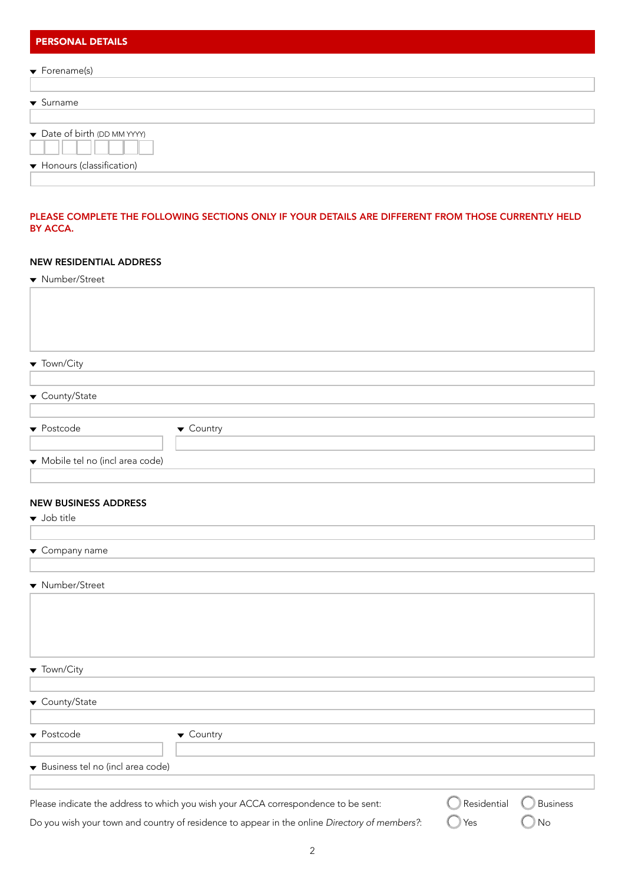| <b>PERSONAL DETAILS</b>          |  |  |
|----------------------------------|--|--|
| $\blacktriangledown$ Forename(s) |  |  |
| $\blacktriangleright$ Surname    |  |  |
| • Date of birth (DD MM YYYY)     |  |  |
| ▼ Honours (classification)       |  |  |
|                                  |  |  |

# PLEASE COMPLETE THE FOLLOWING SECTIONS ONLY IF YOUR DETAILS ARE DIFFERENT FROM THOSE CURRENTLY HELD BY ACCA.

# NEW RESIDENTIAL ADDRESS

# NEW BUSINESS ADDRESS

| $\blacktriangledown$ Job title    |                                                                                               |             |                 |
|-----------------------------------|-----------------------------------------------------------------------------------------------|-------------|-----------------|
|                                   |                                                                                               |             |                 |
| $\blacktriangledown$ Company name |                                                                                               |             |                 |
|                                   |                                                                                               |             |                 |
| ▼ Number/Street                   |                                                                                               |             |                 |
|                                   |                                                                                               |             |                 |
|                                   |                                                                                               |             |                 |
|                                   |                                                                                               |             |                 |
|                                   |                                                                                               |             |                 |
| $\blacktriangledown$ Town/City    |                                                                                               |             |                 |
|                                   |                                                                                               |             |                 |
| $\blacktriangledown$ County/State |                                                                                               |             |                 |
|                                   |                                                                                               |             |                 |
| ▼ Postcode                        | $\blacktriangledown$ Country                                                                  |             |                 |
|                                   |                                                                                               |             |                 |
| Business tel no (incl area code)  |                                                                                               |             |                 |
|                                   |                                                                                               |             |                 |
|                                   | Please indicate the address to which you wish your ACCA correspondence to be sent:            | Residential | <b>Business</b> |
|                                   | Do you wish your town and country of residence to appear in the online Directory of members?: | Yes         | No              |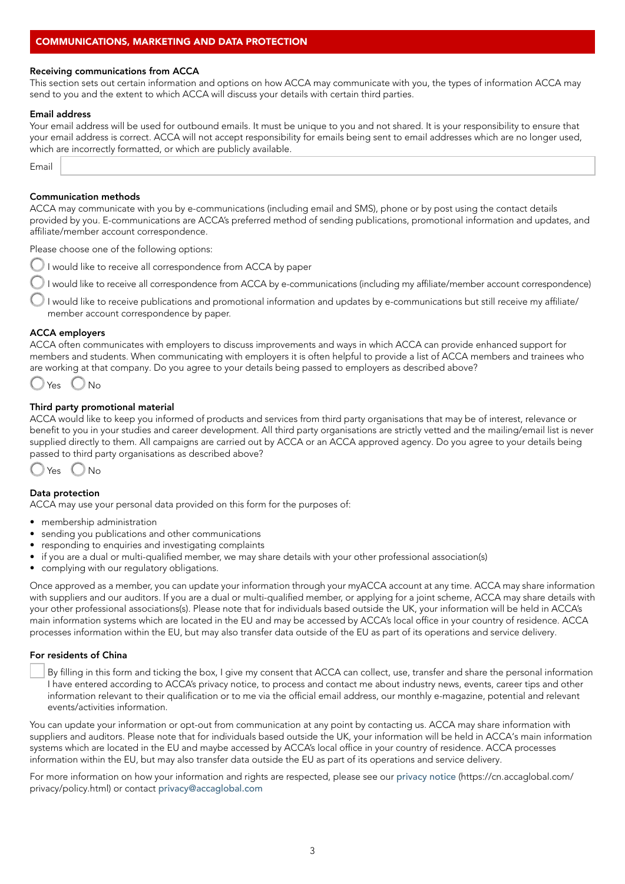## COMMUNICATIONS, MARKETING AND DATA PROTECTION

#### Receiving communications from ACCA

This section sets out certain information and options on how ACCA may communicate with you, the types of information ACCA may send to you and the extent to which ACCA will discuss your details with certain third parties.

#### Email address

Your email address will be used for outbound emails. It must be unique to you and not shared. It is your responsibility to ensure that your email address is correct. ACCA will not accept responsibility for emails being sent to email addresses which are no longer used, which are incorrectly formatted, or which are publicly available.

Email

#### Communication methods

ACCA may communicate with you by e-communications (including email and SMS), phone or by post using the contact details provided by you. E-communications are ACCA's preferred method of sending publications, promotional information and updates, and affiliate/member account correspondence.

Please choose one of the following options:

I would like to receive all correspondence from ACCA by paper

 I would like to receive all correspondence from ACCA by e-communications (including my affiliate/member account correspondence)

 I would like to receive publications and promotional information and updates by e-communications but still receive my affiliate/ member account correspondence by paper.

#### ACCA employers

ACCA often communicates with employers to discuss improvements and ways in which ACCA can provide enhanced support for members and students. When communicating with employers it is often helpful to provide a list of ACCA members and trainees who are working at that company. Do you agree to your details being passed to employers as described above?

$$
\bigcirc Yes \bigcirc N\circ
$$

### Third party promotional material

ACCA would like to keep you informed of products and services from third party organisations that may be of interest, relevance or benefit to you in your studies and career development. All third party organisations are strictly vetted and the mailing/email list is never supplied directly to them. All campaigns are carried out by ACCA or an ACCA approved agency. Do you agree to your details being passed to third party organisations as described above?



#### Data protection

ACCA may use your personal data provided on this form for the purposes of:

- membership administration
- sending you publications and other communications
- responding to enquiries and investigating complaints
- if you are a dual or multi-qualified member, we may share details with your other professional association(s)
- complying with our regulatory obligations.

Once approved as a member, you can update your information through your myACCA account at any time. ACCA may share information with suppliers and our auditors. If you are a dual or multi-qualified member, or applying for a joint scheme, ACCA may share details with your other professional associations(s). Please note that for individuals based outside the UK, your information will be held in ACCA's main information systems which are located in the EU and may be accessed by ACCA's local office in your country of residence. ACCA processes information within the EU, but may also transfer data outside of the EU as part of its operations and service delivery.

#### For residents of China

By filling in this form and ticking the box, I give my consent that ACCA can collect, use, transfer and share the personal information I have entered according to ACCA's privacy notice, to process and contact me about industry news, events, career tips and other information relevant to their qualification or to me via the official email address, our monthly e-magazine, potential and relevant events/activities information.

You can update your information or opt-out from communication at any point by contacting us. ACCA may share information with suppliers and auditors. Please note that for individuals based outside the UK, your information will be held in ACCA's main information systems which are located in the EU and maybe accessed by ACCA's local office in your country of residence. ACCA processes information within the EU, but may also transfer data outside the EU as part of its operations and service delivery.

For more information on how your information and rights are respected, please see our [privacy notice](https://cn.accaglobal.com/privacy/policy.html) (https://cn.accaglobal.com/ privacy/policy.html) or contact [privacy@accaglobal.com](mailto:privacy%40accaglobal.com?subject=)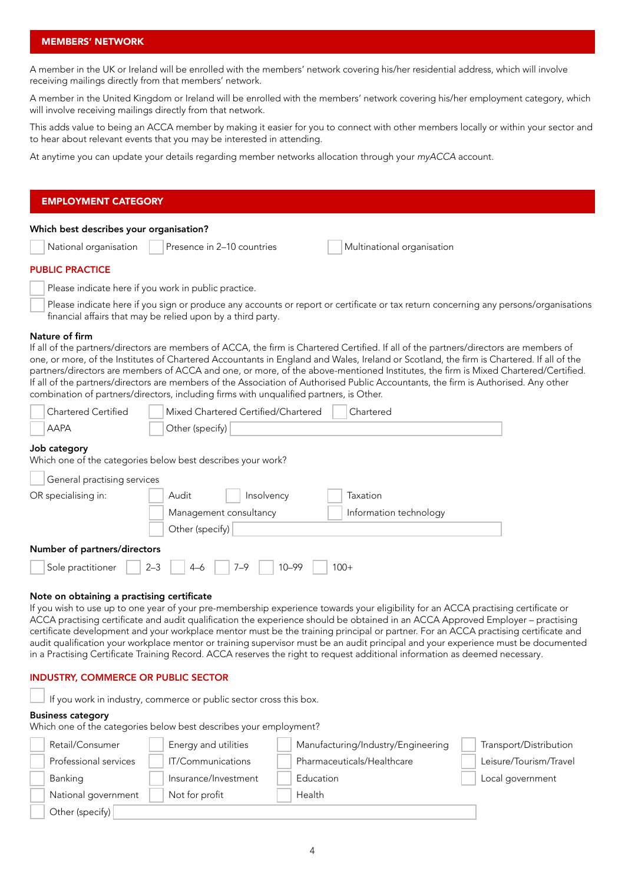#### MEMBERS' NETWORK

A member in the UK or Ireland will be enrolled with the members' network covering his/her residential address, which will involve receiving mailings directly from that members' network.

A member in the United Kingdom or Ireland will be enrolled with the members' network covering his/her employment category, which will involve receiving mailings directly from that network.

This adds value to being an ACCA member by making it easier for you to connect with other members locally or within your sector and to hear about relevant events that you may be interested in attending.

At anytime you can update your details regarding member networks allocation through your *myACCA* account.

# Which best describes your organisation? National organisation Presence in 2–10 countries Multinational organisation PUBLIC PRACTICE Please indicate here if you work in public practice. Please indicate here if you sign or produce any accounts or report or certificate or tax return concerning any persons/organisations financial affairs that may be relied upon by a third party. EMPLOYMENT CATEGORY

#### Nature of firm

If all of the partners/directors are members of ACCA, the firm is Chartered Certified. If all of the partners/directors are members of one, or more, of the Institutes of Chartered Accountants in England and Wales, Ireland or Scotland, the firm is Chartered. If all of the partners/directors are members of ACCA and one, or more, of the above-mentioned Institutes, the firm is Mixed Chartered/Certified. If all of the partners/directors are members of the Association of Authorised Public Accountants, the firm is Authorised. Any other combination of partners/directors, including firms with unqualified partners, is Other.

| Chartered Certified | Mixed Chartered Certified/Chartered<br>Chartered |
|---------------------|--------------------------------------------------|
| <b>AAPA</b>         | Other (specify)                                  |

#### Job category

Which one of the categories below best describes your work?

| General practising services  |                                 |                        |  |  |
|------------------------------|---------------------------------|------------------------|--|--|
| OR specialising in:          | Audit<br>Insolvency             | Taxation               |  |  |
|                              | Management consultancy          | Information technology |  |  |
|                              | Other (specify)                 |                        |  |  |
| Number of partners/directors |                                 |                        |  |  |
| Sole practitioner<br>$2 - 3$ | $10 - 99$<br>$7 - 9$<br>$4 - 6$ | $100+$                 |  |  |

#### Note on obtaining a practising certificate

If you wish to use up to one year of your pre-membership experience towards your eligibility for an ACCA practising certificate or ACCA practising certificate and audit qualification the experience should be obtained in an ACCA Approved Employer – practising certificate development and your workplace mentor must be the training principal or partner. For an ACCA practising certificate and audit qualification your workplace mentor or training supervisor must be an audit principal and your experience must be documented in a Practising Certificate Training Record. ACCA reserves the right to request additional information as deemed necessary.

#### INDUSTRY, COMMERCE OR PUBLIC SECTOR

If you work in industry, commerce or public sector cross this box.

#### Business category

Which one of the categories below best describes your employment?

| Retail/Consumer       | Energy and utilities | Manufacturing/Industry/Engineering | Transport/Distribution |
|-----------------------|----------------------|------------------------------------|------------------------|
| Professional services | IT/Communications    | Pharmaceuticals/Healthcare         | Leisure/Tourism/Travel |
| Banking               | Insurance/Investment | Education                          | Local government       |
| National government   | Not for profit       | Health                             |                        |
| Other (specify)       |                      |                                    |                        |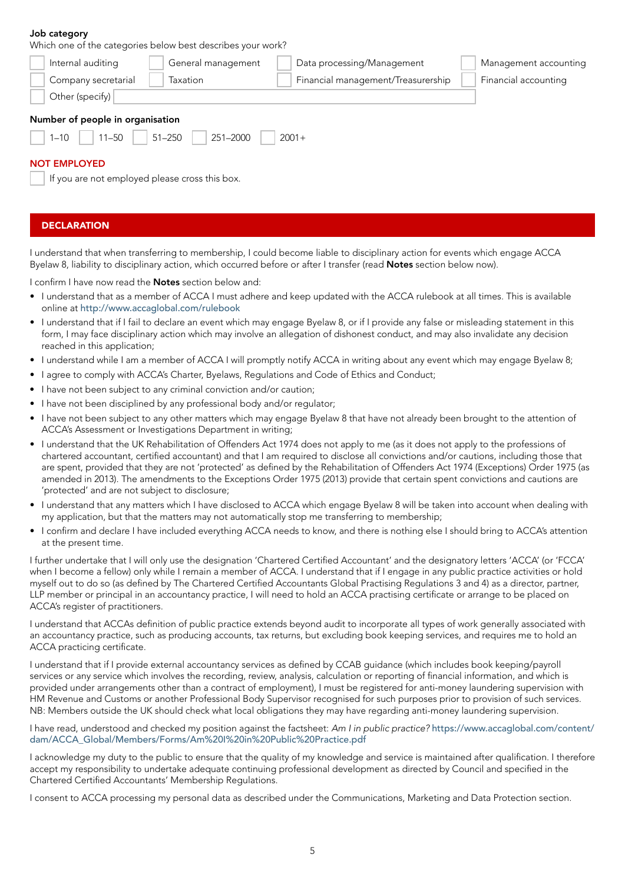#### Job category

Which one of the categories below best describes your work?

| Internal auditing                                                                              | General management | Data processing/Management         | Management accounting |  |  |
|------------------------------------------------------------------------------------------------|--------------------|------------------------------------|-----------------------|--|--|
| Company secretarial                                                                            | Taxation           | Financial management/Treasurership | Financial accounting  |  |  |
| Other (specify)                                                                                |                    |                                    |                       |  |  |
| Number of people in organisation<br>$51 - 250$<br>$11 - 50$<br>251-2000<br>$2001+$<br>$1 - 10$ |                    |                                    |                       |  |  |
| <b>NOT EMPLOYED</b><br>If you are not employed please cross this box.                          |                    |                                    |                       |  |  |

# **DECLARATION**

I understand that when transferring to membership, I could become liable to disciplinary action for events which engage ACCA Byelaw 8, liability to disciplinary action, which occurred before or after I transfer (read Notes section below now).

I confirm I have now read the **Notes** section below and:

- I understand that as a member of ACCA I must adhere and keep updated with the ACCA rulebook at all times. This is available online at <http://www.accaglobal.com/rulebook>
- I understand that if I fail to declare an event which may engage Byelaw 8, or if I provide any false or misleading statement in this form, I may face disciplinary action which may involve an allegation of dishonest conduct, and may also invalidate any decision reached in this application;
- I understand while I am a member of ACCA I will promptly notify ACCA in writing about any event which may engage Byelaw 8;
- I agree to comply with ACCA's Charter, Byelaws, Regulations and Code of Ethics and Conduct;
- I have not been subject to any criminal conviction and/or caution;
- I have not been disciplined by any professional body and/or regulator;
- I have not been subject to any other matters which may engage Byelaw 8 that have not already been brought to the attention of ACCA's Assessment or Investigations Department in writing;
- I understand that the UK Rehabilitation of Offenders Act 1974 does not apply to me (as it does not apply to the professions of chartered accountant, certified accountant) and that I am required to disclose all convictions and/or cautions, including those that are spent, provided that they are not 'protected' as defined by the Rehabilitation of Offenders Act 1974 (Exceptions) Order 1975 (as amended in 2013). The amendments to the Exceptions Order 1975 (2013) provide that certain spent convictions and cautions are 'protected' and are not subject to disclosure;
- I understand that any matters which I have disclosed to ACCA which engage Byelaw 8 will be taken into account when dealing with my application, but that the matters may not automatically stop me transferring to membership;
- I confirm and declare I have included everything ACCA needs to know, and there is nothing else I should bring to ACCA's attention at the present time.

I further undertake that I will only use the designation 'Chartered Certified Accountant' and the designatory letters 'ACCA' (or 'FCCA' when I become a fellow) only while I remain a member of ACCA. I understand that if I engage in any public practice activities or hold myself out to do so (as defined by The Chartered Certified Accountants Global Practising Regulations 3 and 4) as a director, partner, LLP member or principal in an accountancy practice, I will need to hold an ACCA practising certificate or arrange to be placed on ACCA's register of practitioners.

I understand that ACCAs definition of public practice extends beyond audit to incorporate all types of work generally associated with an accountancy practice, such as producing accounts, tax returns, but excluding book keeping services, and requires me to hold an ACCA practicing certificate.

I understand that if I provide external accountancy services as defined by CCAB guidance (which includes book keeping/payroll services or any service which involves the recording, review, analysis, calculation or reporting of financial information, and which is provided under arrangements other than a contract of employment), I must be registered for anti-money laundering supervision with HM Revenue and Customs or another Professional Body Supervisor recognised for such purposes prior to provision of such services. NB: Members outside the UK should check what local obligations they may have regarding anti-money laundering supervision.

I have read, understood and checked my position against the factsheet: *Am I in public practice?* [https://www.accaglobal.com/content/](https://www.accaglobal.com/content/dam/ACCA_Global/Members/Forms/Am%20I%20in%20Public%20Practice.pdf) [dam/ACCA\\_Global/Members/Forms/Am%20I%20in%20Public%20Practice.pdf](https://www.accaglobal.com/content/dam/ACCA_Global/Members/Forms/Am%20I%20in%20Public%20Practice.pdf)

I acknowledge my duty to the public to ensure that the quality of my knowledge and service is maintained after qualification. I therefore accept my responsibility to undertake adequate continuing professional development as directed by Council and specified in the Chartered Certified Accountants' Membership Regulations.

I consent to ACCA processing my personal data as described under the Communications, Marketing and Data Protection section.